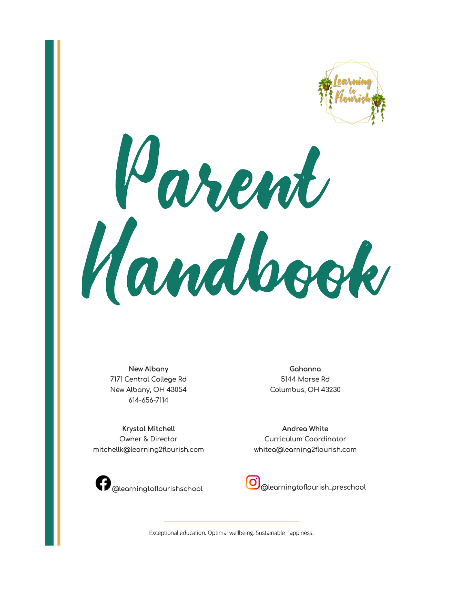

Tarent Handbook

**New Albany** 7171 Central College Rd New Albany, OH 43054 614-656-7114

**Krystal Mitchell** Owner & Director mitchellk@learning2flourish.com

Gahanna 5144 Morse Rd Columbus, OH 43230

Andrea White Curriculum Coordinator whitea@learning2flourish.com



@learningtoflourish\_preschool

Exceptional education. Optimal wellbeing. Sustainable happiness.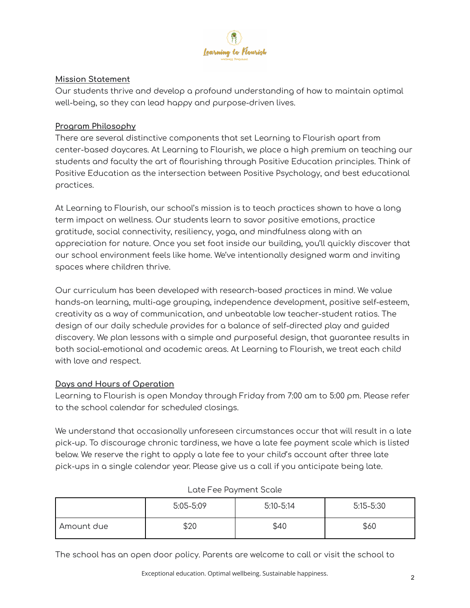

## **Mission Statement**

Our students thrive and develop a profound understanding of how to maintain optimal well-being, so they can lead happy and purpose-driven lives.

## **Program Philosophy**

There are several distinctive components that set Learning to Flourish apart from center-based daycares. At Learning to Flourish, we place a high premium on teaching our students and faculty the art of flourishing through Positive Education principles. Think of Positive Education as the intersection between Positive Psychology, and best educational practices.

At Learning to Flourish, our school's mission is to teach practices shown to have a long term impact on wellness. Our students learn to savor positive emotions, practice gratitude, social connectivity, resiliency, yoga, and mindfulness along with an appreciation for nature. Once you set foot inside our building, you'll quickly discover that our school environment feels like home. We've intentionally designed warm and inviting spaces where children thrive.

Our curriculum has been developed with research-based practices in mind. We value hands-on learning, multi-age grouping, independence development, positive self-esteem, creativity as a way of communication, and unbeatable low teacher-student ratios. The design of our daily schedule provides for a balance of self-directed play and guided discovery. We plan lessons with a simple and purposeful design, that guarantee results in both social-emotional and academic areas. At Learning to Flourish, we treat each child with love and respect.

## **Days and Hours of Operation**

Learning to Flourish is open Monday through Friday from 7:00 am to 5:00 pm. Please refer to the school calendar for scheduled closings.

We understand that occasionally unforeseen circumstances occur that will result in a late pick-up. To discourage chronic tardiness, we have a late fee payment scale which is listed below. We reserve the right to apply a late fee to your child's account after three late pick-ups in a single calendar year. Please give us a call if you anticipate being late.

|            | 5:05-5:09 | $5:10 - 5:14$ | $5:15 - 5:30$ |
|------------|-----------|---------------|---------------|
| Amount due | \$20      | \$40          | \$60          |

## Late Fee Payment Scale

The school has an open door policy. Parents are welcome to call or visit the school to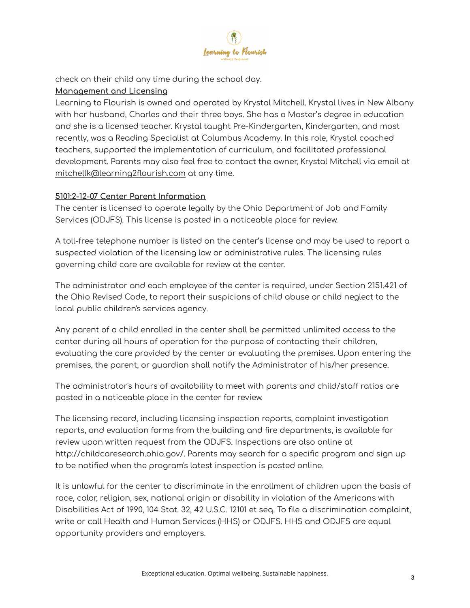

check on their child any time during the school day.

#### **Management and Licensing**

Learning to Flourish is owned and operated by Krystal Mitchell. Krystal lives in New Albany with her husband, Charles and their three boys. She has a Master's degree in education and she is a licensed teacher. Krystal taught Pre-Kindergarten, Kindergarten, and most recently, was a Reading Specialist at Columbus Academy. In this role, Krystal coached teachers, supported the implementation of curriculum, and facilitated professional development. Parents may also feel free to contact the owner, Krystal Mitchell via email at [mitchellk@learning2flourish.com](mailto:mitchellk@learning2flourish.com) at any time.

#### **5101:2-12-07 Center Parent Information**

The center is licensed to operate legally by the Ohio Department of Job and Family Services (ODJFS). This license is posted in a noticeable place for review.

A toll-free telephone number is listed on the center's license and may be used to report a suspected violation of the licensing law or administrative rules. The licensing rules governing child care are available for review at the center.

The administrator and each employee of the center is required, under Section 2151.421 of the Ohio Revised Code, to report their suspicions of child abuse or child neglect to the local public children's services agency.

Any parent of a child enrolled in the center shall be permitted unlimited access to the center during all hours of operation for the purpose of contacting their children, evaluating the care provided by the center or evaluating the premises. Upon entering the premises, the parent, or guardian shall notify the Administrator of his/her presence.

The administrator's hours of availability to meet with parents and child/staff ratios are posted in a noticeable place in the center for review.

The licensing record, including licensing inspection reports, complaint investigation reports, and evaluation forms from the building and fire departments, is available for review upon written request from the ODJFS. Inspections are also online at http://childcaresearch.ohio.gov/. Parents may search for a specific program and sign up to be notified when the program's latest inspection is posted online.

It is unlawful for the center to discriminate in the enrollment of children upon the basis of race, color, religion, sex, national origin or disability in violation of the Americans with Disabilities Act of 1990, 104 Stat. 32, 42 U.S.C. 12101 et seq. To file a discrimination complaint, write or call Health and Human Services (HHS) or ODJFS. HHS and ODJFS are equal opportunity providers and employers.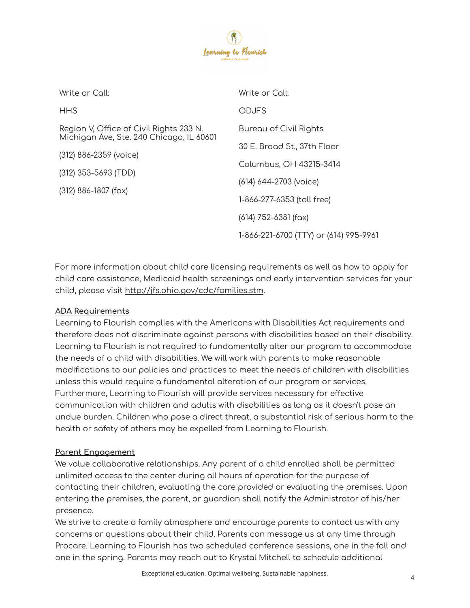

| Write or Call:                                                                      | Write or Call:                         |  |
|-------------------------------------------------------------------------------------|----------------------------------------|--|
| <b>HHS</b>                                                                          | <b>ODJFS</b>                           |  |
| Region V, Office of Civil Rights 233 N.<br>Michigan Ave, Ste. 240 Chicago, IL 60601 | Bureau of Civil Rights                 |  |
| (312) 886-2359 (voice)                                                              | 30 E. Broad St., 37th Floor            |  |
| (312) 353-5693 (TDD)                                                                | Columbus, OH 43215-3414                |  |
|                                                                                     | (614) 644-2703 (voice)                 |  |
| $(312)$ 886-1807 (fax)                                                              | 1-866-277-6353 (toll free)             |  |
|                                                                                     | $(614)$ 752-6381 (fax)                 |  |
|                                                                                     | 1-866-221-6700 (TTY) or (614) 995-9961 |  |

For more information about child care licensing requirements as well as how to apply for child care assistance, Medicaid health screenings and early intervention services for your child, please visit <http://jfs.ohio.gov/cdc/families.stm>.

## **ADA Requirements**

Learning to Flourish complies with the Americans with Disabilities Act requirements and therefore does not discriminate against persons with disabilities based on their disability. Learning to Flourish is not required to fundamentally alter our program to accommodate the needs of a child with disabilities. We will work with parents to make reasonable modifications to our policies and practices to meet the needs of children with disabilities unless this would require a fundamental alteration of our program or services. Furthermore, Learning to Flourish will provide services necessary for effective communication with children and adults with disabilities as long as it doesn't pose an undue burden. Children who pose a direct threat, a substantial risk of serious harm to the health or safety of others may be expelled from Learning to Flourish.

## **Parent Engagement**

We value collaborative relationships. Any parent of a child enrolled shall be permitted unlimited access to the center during all hours of operation for the purpose of contacting their children, evaluating the care provided or evaluating the premises. Upon entering the premises, the parent, or guardian shall notify the Administrator of his/her presence.

We strive to create a family atmosphere and encourage parents to contact us with any concerns or questions about their child. Parents can message us at any time through Procare. Learning to Flourish has two scheduled conference sessions, one in the fall and one in the spring. Parents may reach out to Krystal Mitchell to schedule additional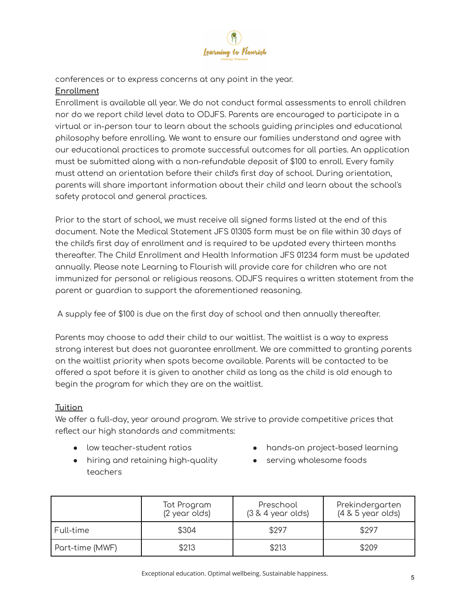

conferences or to express concerns at any point in the year.

# **Enrollment**

Enrollment is available all year. We do not conduct formal assessments to enroll children nor do we report child level data to ODJFS. Parents are encouraged to participate in a virtual or in-person tour to learn about the schools guiding principles and educational philosophy before enrolling. We want to ensure our families understand and agree with our educational practices to promote successful outcomes for all parties. An application must be submitted along with a non-refundable deposit of \$100 to enroll. Every family must attend an orientation before their child's first day of school. During orientation, parents will share important information about their child and learn about the school's safety protocol and general practices.

Prior to the start of school, we must receive all signed forms listed at the end of this document. Note the Medical Statement JFS 01305 form must be on file within 30 days of the child's first day of enrollment and is required to be updated every thirteen months thereafter. The Child Enrollment and Health Information JFS 01234 form must be updated annually. Please note Learning to Flourish will provide care for children who are not immunized for personal or religious reasons. ODJFS requires a written statement from the parent or guardian to support the aforementioned reasoning.

A supply fee of \$100 is due on the first day of school and then annually thereafter.

Parents may choose to add their child to our waitlist. The waitlist is a way to express strong interest but does not guarantee enrollment. We are committed to granting parents on the waitlist priority when spots become available. Parents will be contacted to be offered a spot before it is given to another child as long as the child is old enough to begin the program for which they are on the waitlist.

## **Tuition**

We offer a full-day, year around program. We strive to provide competitive prices that reflect our high standards and commitments:

- low teacher-student ratios
- hiring and retaining high-quality teachers
- hands-on project-based learning
- serving wholesome foods

|                 | Tot Program<br>(2 year olds) | Preschool<br>$(3 & 4$ year olds) | Prekindergarten<br>$(4 \& 5 \text{ year}$ olds) |
|-----------------|------------------------------|----------------------------------|-------------------------------------------------|
| Full-time       | \$304                        | \$297                            | \$297                                           |
| Part-time (MWF) | \$213                        | \$213                            | \$209                                           |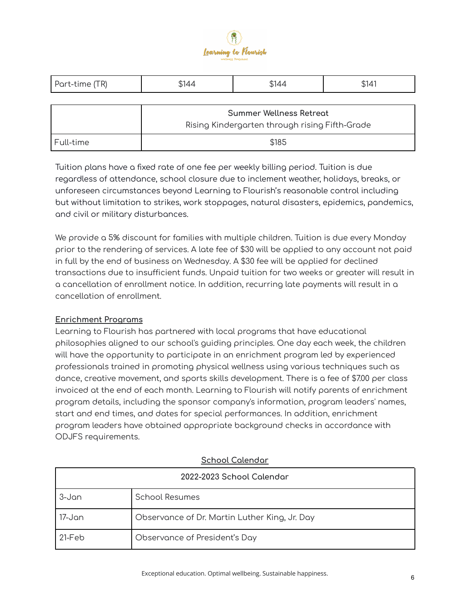

| Part-time (TR) | \$144                                                                            | \$144 | \$141 |  |
|----------------|----------------------------------------------------------------------------------|-------|-------|--|
|                |                                                                                  |       |       |  |
|                | <b>Summer Wellness Retreat</b><br>Rising Kindergarten through rising Fifth-Grade |       |       |  |
|                |                                                                                  |       |       |  |
| Full-time      | \$185                                                                            |       |       |  |

Tuition plans have a fixed rate of one fee per weekly billing period. Tuition is due regardless of attendance, school closure due to inclement weather, holidays, breaks, or unforeseen circumstances beyond Learning to Flourish's reasonable control including but without limitation to strikes, work stoppages, natural disasters, epidemics, pandemics, and civil or military disturbances.

We provide a 5% discount for families with multiple children. Tuition is due every Monday prior to the rendering of services. A late fee of \$30 will be applied to any account not paid in full by the end of business on Wednesday. A \$30 fee will be applied for declined transactions due to insufficient funds. Unpaid tuition for two weeks or greater will result in a cancellation of enrollment notice. In addition, recurring late payments will result in a cancellation of enrollment.

## **Enrichment Programs**

Learning to Flourish has partnered with local programs that have educational philosophies aligned to our school's guiding principles. One day each week, the children will have the opportunity to participate in an enrichment program led by experienced professionals trained in promoting physical wellness using various techniques such as dance, creative movement, and sports skills development. There is a fee of \$7.00 per class invoiced at the end of each month. Learning to Flourish will notify parents of enrichment program details, including the sponsor company's information, program leaders' names, start and end times, and dates for special performances. In addition, enrichment program leaders have obtained appropriate background checks in accordance with ODJFS requirements.

| 2022-2023 School Colendor |                                               |  |  |
|---------------------------|-----------------------------------------------|--|--|
| 3-Jan                     | <b>School Resumes</b>                         |  |  |
| 17-Jan                    | Observance of Dr. Martin Luther King, Jr. Day |  |  |
| $21-Feb$                  | Observance of President's Day                 |  |  |

# **School Calendar**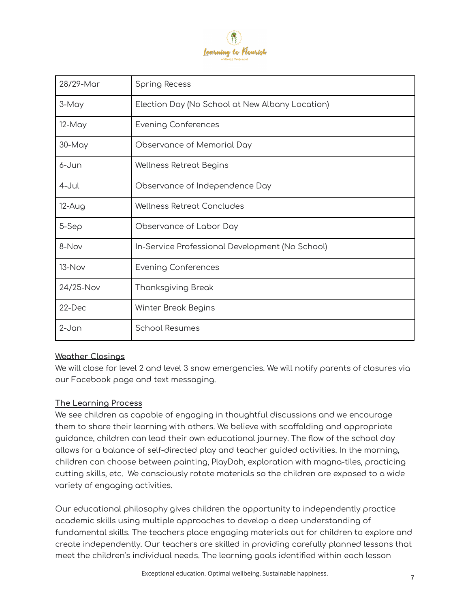

| 28/29-Mar | <b>Spring Recess</b>                            |
|-----------|-------------------------------------------------|
| 3-May     | Election Day (No School at New Albany Location) |
| 12-May    | <b>Evening Conferences</b>                      |
| 30-May    | Observance of Memorial Day                      |
| 6-Jun     | Wellness Retreat Begins                         |
| 4-Jul     | Observance of Independence Day                  |
| $12-Aug$  | Wellness Retreat Concludes                      |
| $5-$ Sep  | Observance of Labor Day                         |
| 8-Nov     | In-Service Professional Development (No School) |
| 13-Nov    | <b>Evening Conferences</b>                      |
| 24/25-Nov | Thanksgiving Break                              |
| 22-Dec    | Winter Break Begins                             |
| $2-Jan$   | <b>School Resumes</b>                           |

## **Weather Closings**

We will close for level 2 and level 3 snow emergencies. We will notify parents of closures via our Facebook page and text messaging.

## **The Learning Process**

We see children as capable of engaging in thoughtful discussions and we encourage them to share their learning with others. We believe with scaffolding and appropriate guidance, children can lead their own educational journey. The flow of the school day allows for a balance of self-directed play and teacher guided activities. In the morning, children can choose between painting, PlayDoh, exploration with magna-tiles, practicing cutting skills, etc. We consciously rotate materials so the children are exposed to a wide variety of engaging activities.

Our educational philosophy gives children the opportunity to independently practice academic skills using multiple approaches to develop a deep understanding of fundamental skills. The teachers place engaging materials out for children to explore and create independently. Our teachers are skilled in providing carefully planned lessons that meet the children's individual needs. The learning goals identified within each lesson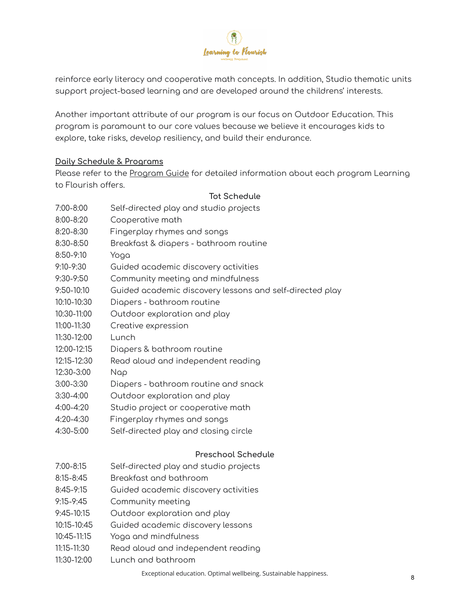

reinforce early literacy and cooperative math concepts. In addition, Studio thematic units support project-based learning and are developed around the childrens' interests.

Another important attribute of our program is our focus on Outdoor Education. This program is paramount to our core values because we believe it encourages kids to explore, take risks, develop resiliency, and build their endurance.

# **Daily Schedule & Programs**

Please refer to the Program Guide for detailed information about each program Learning to Flourish offers.

# **Tot Schedule**

- 7:00-8:00 Self-directed play and studio projects
- 8:00-8:20 Cooperative math
- 8:20-8:30 Fingerplay rhymes and songs
- 8:30-8:50 Breakfast & diapers bathroom routine
- 8:50-9:10 Yoga
- 9:10-9:30 Guided academic discovery activities
- 9:30-9:50 Community meeting and mindfulness
- 9:50-10:10 Guided academic discovery lessons and self-directed play
- 10:10-10:30 Diapers bathroom routine
- 10:30-11:00 Outdoor exploration and play
- 11:00-11:30 Creative expression
- 11:30-12:00 Lunch
- 12:00-12:15 Diapers & bathroom routine
- 12:15-12:30 Read aloud and independent reading
- 12:30-3:00 Nap
- 3:00-3:30 Diapers bathroom routine and snack
- 3:30-4:00 Outdoor exploration and play
- 4:00-4:20 Studio project or cooperative math
- 4:20-4:30 Fingerplay rhymes and songs
- 4:30-5:00 Self-directed play and closing circle

## **Preschool Schedule**

- 7:00-8:15 Self-directed play and studio projects
- 8:15-8:45 Breakfast and bathroom
- 8:45-9:15 Guided academic discovery activities
- 9:15-9:45 Community meeting
- 9:45-10:15 Outdoor exploration and play
- 10:15-10:45 Guided academic discovery lessons
- 10:45-11:15 Yoga and mindfulness
- 11:15-11:30 Read aloud and independent reading
- 11:30-12:00 Lunch and bathroom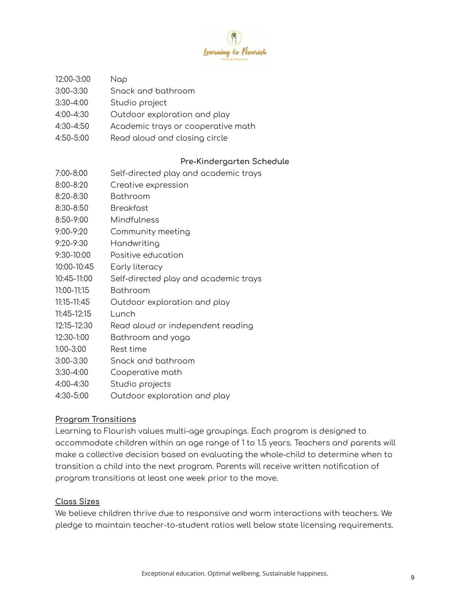

- 12:00-3:00 Nap
- 3:00-3:30 Snack and bathroom
- 3:30-4:00 Studio project
- 4:00-4:30 Outdoor exploration and play
- 4:30-4:50 Academic trays or cooperative math
- 4:50-5:00 Read aloud and closing circle

#### **Pre-Kindergarten Schedule**

- 7:00-8:00 Self-directed play and academic trays
- 8:00-8:20 Creative expression
- 8:20-8:30 Bathroom
- 8:30-8:50 Breakfast
- 8:50-9:00 Mindfulness
- 9:00-9:20 Community meeting
- 9:20-9:30 Handwriting
- 9:30-10:00 Positive education
- 10:00-10:45 Early literacy
- 10:45-11:00 Self-directed play and academic trays
- 11:00-11:15 Bathroom
- 11:15-11:45 Outdoor exploration and play
- 11:45-12:15 Lunch
- 12:15-12:30 Read aloud or independent reading
- 12:30-1:00 Bathroom and yoga
- 1:00-3:00 Rest time
- 3:00-3:30 Snack and bathroom
- 3:30-4:00 Cooperative math
- 4:00-4:30 Studio projects
- 4:30-5:00 Outdoor exploration and play

#### **Program Transitions**

Learning to Flourish values multi-age groupings. Each program is designed to accommodate children within an age range of 1 to 1.5 years. Teachers and parents will make a collective decision based on evaluating the whole-child to determine when to transition a child into the next program. Parents will receive written notification of program transitions at least one week prior to the move.

#### **Class Sizes**

We believe children thrive due to responsive and warm interactions with teachers. We pledge to maintain teacher-to-student ratios well below state licensing requirements.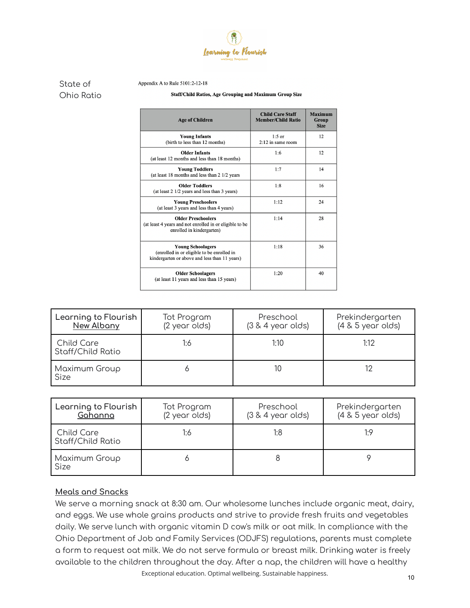

Appendix A to Rule 5101:2-12-18

#### State of Ohio Ratio

#### Staff/Child Ratios, Age Grouping and Maximum Group Size

| <b>Age of Children</b>                                                                                                  | <b>Child Care Staff</b><br><b>Member/Child Ratio</b> | <b>Maximum</b><br>Group<br><b>Size</b> |
|-------------------------------------------------------------------------------------------------------------------------|------------------------------------------------------|----------------------------------------|
| <b>Young Infants</b><br>(birth to less than 12 months)                                                                  | $1:5$ or<br>$2:12$ in same room                      | 12                                     |
| <b>Older Infants</b><br>(at least 12 months and less than 18 months)                                                    | 1:6                                                  | 12                                     |
| <b>Young Toddlers</b><br>(at least 18 months and less than 2 1/2 years)                                                 | 1:7                                                  | 14                                     |
| <b>Older Toddlers</b><br>(at least 2 1/2 years and less than 3 years)                                                   | 1:8                                                  | 16                                     |
| <b>Young Preschoolers</b><br>(at least 3 years and less than 4 years)                                                   | 1:12                                                 | 24                                     |
| <b>Older Preschoolers</b><br>(at least 4 years and not enrolled in or eligible to be<br>enrolled in kindergarten)       | 1:14                                                 | 28                                     |
| <b>Young Schoolagers</b><br>(enrolled in or eligible to be enrolled in<br>kindergarten or above and less than 11 years) | 1:18                                                 | 36                                     |
| <b>Older Schoolagers</b><br>(at least 11 years and less than 15 years)                                                  | 1:20                                                 | 40                                     |

| Learning to Flourish<br>New Albany | Tot Program<br>(2 year olds) | Preschool<br>$(3 & 4$ year olds) | Prekindergarten<br>$(4 & 5$ year olds) |
|------------------------------------|------------------------------|----------------------------------|----------------------------------------|
| Child Care<br>Staff/Child Ratio    | 1:6                          | 1:10                             | 1:12                                   |
| Maximum Group<br>Size              |                              | 10                               |                                        |

| Learning to Flourish<br>Gahanna | Tot Program<br>(2 year olds) | Preschool<br>$(3 & 4$ year olds) | Prekindergarten<br>$(4 & 5$ year olds) |
|---------------------------------|------------------------------|----------------------------------|----------------------------------------|
| Child Care<br>Staff/Child Ratio | 1:6                          | 1:8                              | 1.9                                    |
| <b>Maximum Group</b><br>Size    |                              |                                  |                                        |

## **Meals and Snacks**

We serve a morning snack at 8:30 am. Our wholesome lunches include organic meat, dairy, and eggs. We use whole grains products and strive to provide fresh fruits and vegetables daily. We serve lunch with organic vitamin D cow's milk or oat milk. In compliance with the Ohio Department of Job and Family Services (ODJFS) regulations, parents must complete a form to request oat milk. We do not serve formula or breast milk. Drinking water is freely available to the children throughout the day. After a nap, the children will have a healthy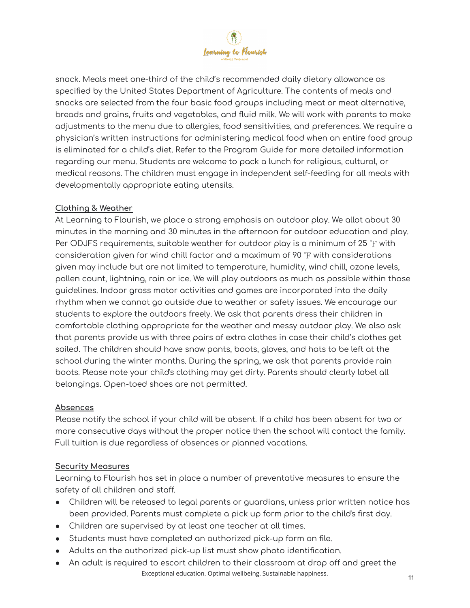

snack. Meals meet one-third of the child's recommended daily dietary allowance as specified by the United States Department of Agriculture. The contents of meals and snacks are selected from the four basic food groups including meat or meat alternative, breads and grains, fruits and vegetables, and fluid milk. We will work with parents to make adjustments to the menu due to allergies, food sensitivities, and preferences. We require a physician's written instructions for administering medical food when an entire food group is eliminated for a child's diet. Refer to the Program Guide for more detailed information regarding our menu. Students are welcome to pack a lunch for religious, cultural, or medical reasons. The children must engage in independent self-feeding for all meals with developmentally appropriate eating utensils.

# **Clothing & Weather**

At Learning to Flourish, we place a strong emphasis on outdoor play. We allot about 30 minutes in the morning and 30 minutes in the afternoon for outdoor education and play. Per ODJFS requirements, suitable weather for outdoor play is a minimum of 25  $\degree$ F with consideration given for wind chill factor and a maximum of 90 ℉ with considerations given may include but are not limited to temperature, humidity, wind chill, ozone levels, pollen count, lightning, rain or ice. We will play outdoors as much as possible within those guidelines. Indoor gross motor activities and games are incorporated into the daily rhythm when we cannot go outside due to weather or safety issues. We encourage our students to explore the outdoors freely. We ask that parents dress their children in comfortable clothing appropriate for the weather and messy outdoor play. We also ask that parents provide us with three pairs of extra clothes in case their child's clothes get soiled. The children should have snow pants, boots, gloves, and hats to be left at the school during the winter months. During the spring, we ask that parents provide rain boots. Please note your child's clothing may get dirty. Parents should clearly label all belongings. Open-toed shoes are not permitted.

## **Absences**

Please notify the school if your child will be absent. If a child has been absent for two or more consecutive days without the proper notice then the school will contact the family. Full tuition is due regardless of absences or planned vacations.

## **Security Measures**

Learning to Flourish has set in place a number of preventative measures to ensure the safety of all children and staff.

- Children will be released to legal parents or guardians, unless prior written notice has been provided. Parents must complete a pick up form prior to the child's first day.
- Children are supervised by at least one teacher at all times.
- Students must have completed an authorized pick-up form on file.
- Adults on the authorized pick-up list must show photo identification.
- An adult is required to escort children to their classroom at drop off and greet the Exceptional education. Optimal wellbeing. Sustainable happiness.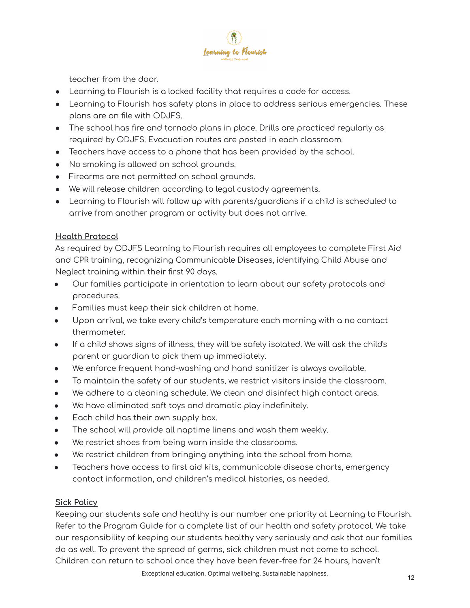

teacher from the door.

- Learning to Flourish is a locked facility that requires a code for access.
- Learning to Flourish has safety plans in place to address serious emergencies. These plans are on file with ODJFS.
- The school has fire and tornado plans in place. Drills are practiced regularly as required by ODJFS. Evacuation routes are posted in each classroom.
- Teachers have access to a phone that has been provided by the school.
- No smoking is allowed on school grounds.
- Firearms are not permitted on school grounds.
- We will release children according to legal custody agreements.
- Learning to Flourish will follow up with parents/guardians if a child is scheduled to arrive from another program or activity but does not arrive.

## **Health Protocol**

As required by ODJFS Learning to Flourish requires all employees to complete First Aid and CPR training, recognizing Communicable Diseases, identifying Child Abuse and Neglect training within their first 90 days.

- Our families participate in orientation to learn about our safety protocols and procedures.
- Families must keep their sick children at home.
- Upon arrival, we take every child's temperature each morning with a no contact thermometer.
- If a child shows signs of illness, they will be safely isolated. We will ask the child's parent or guardian to pick them up immediately.
- We enforce frequent hand-washing and hand sanitizer is always available.
- To maintain the safety of our students, we restrict visitors inside the classroom.
- We adhere to a cleaning schedule. We clean and disinfect high contact areas.
- We have eliminated soft toys and dramatic play indefinitely.
- Each child has their own supply box.
- The school will provide all naptime linens and wash them weekly.
- We restrict shoes from being worn inside the classrooms.
- We restrict children from bringing anything into the school from home.
- Teachers have access to first aid kits, communicable disease charts, emergency contact information, and children's medical histories, as needed.

## **Sick Policy**

Keeping our students safe and healthy is our number one priority at Learning to Flourish. Refer to the Program Guide for a complete list of our health and safety protocol. We take our responsibility of keeping our students healthy very seriously and ask that our families do as well. To prevent the spread of germs, sick children must not come to school. Children can return to school once they have been fever-free for 24 hours, haven't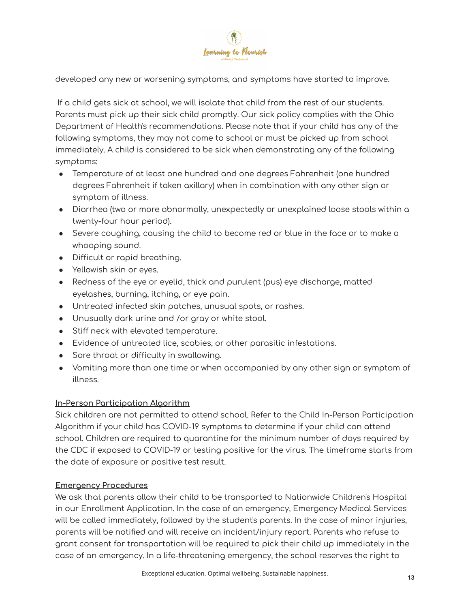

developed any new or worsening symptoms, and symptoms have started to improve.

If a child gets sick at school, we will isolate that child from the rest of our students. Parents must pick up their sick child promptly. Our sick policy complies with the Ohio Department of Health's recommendations. Please note that if your child has any of the following symptoms, they may not come to school or must be picked up from school immediately. A child is considered to be sick when demonstrating any of the following symptoms:

- Temperature of at least one hundred and one degrees Fahrenheit (one hundred degrees Fahrenheit if taken axillary) when in combination with any other sign or symptom of illness.
- Diarrhea (two or more abnormally, unexpectedly or unexplained loose stools within a twenty-four hour period).
- Severe coughing, causing the child to become red or blue in the face or to make a whooping sound.
- Difficult or rapid breathing.
- Yellowish skin or eyes.
- $\bullet$  Redness of the eye or eyelid, thick and purulent (pus) eye discharge, matted eyelashes, burning, itching, or eye pain.
- Untreated infected skin patches, unusual spots, or rashes.
- Unusually dark urine and /or gray or white stool.
- Stiff neck with elevated temperature.
- Evidence of untreated lice, scabies, or other parasitic infestations.
- Sore throat or difficulty in swallowing.
- Vomiting more than one time or when accompanied by any other sign or symptom of illness.

## **In-Person Participation Algorithm**

Sick children are not permitted to attend school. Refer to the Child In-Person Participation Algorithm if your child has COVID-19 symptoms to determine if your child can attend school. Children are required to quarantine for the minimum number of days required by the CDC if exposed to COVID-19 or testing positive for the virus. The timeframe starts from the date of exposure or positive test result.

## **Emergency Procedures**

We ask that parents allow their child to be transported to Nationwide Children's Hospital in our Enrollment Application. In the case of an emergency, Emergency Medical Services will be called immediately, followed by the student's parents. In the case of minor injuries, parents will be notified and will receive an incident/injury report. Parents who refuse to grant consent for transportation will be required to pick their child up immediately in the case of an emergency. In a life-threatening emergency, the school reserves the right to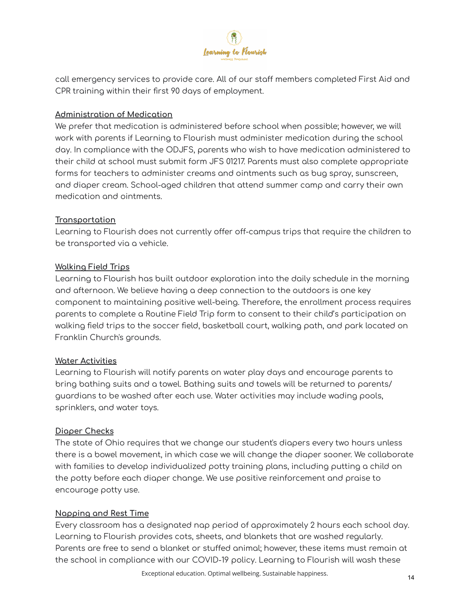

call emergency services to provide care. All of our staff members completed First Aid and CPR training within their first 90 days of employment.

#### **Administration of Medication**

We prefer that medication is administered before school when possible; however, we will work with parents if Learning to Flourish must administer medication during the school day. In compliance with the ODJFS, parents who wish to have medication administered to their child at school must submit form JFS 01217. Parents must also complete appropriate forms for teachers to administer creams and ointments such as bug spray, sunscreen, and diaper cream. School-aged children that attend summer camp and carry their own medication and ointments.

## **Transportation**

Learning to Flourish does not currently offer off-campus trips that require the children to be transported via a vehicle.

#### **Walking Field Trips**

Learning to Flourish has built outdoor exploration into the daily schedule in the morning and afternoon. We believe having a deep connection to the outdoors is one key component to maintaining positive well-being. Therefore, the enrollment process requires parents to complete a Routine Field Trip form to consent to their child's participation on walking field trips to the soccer field, basketball court, walking path, and park located on Franklin Church's grounds.

## **Water Activities**

Learning to Flourish will notify parents on water play days and encourage parents to bring bathing suits and a towel. Bathing suits and towels will be returned to parents/ guardians to be washed after each use. Water activities may include wading pools, sprinklers, and water toys.

## **Diaper Checks**

The state of Ohio requires that we change our student's diapers every two hours unless there is a bowel movement, in which case we will change the diaper sooner. We collaborate with families to develop individualized potty training plans, including putting a child on the potty before each diaper change. We use positive reinforcement and praise to encourage potty use.

## **Napping and Rest Time**

Every classroom has a designated nap period of approximately 2 hours each school day. Learning to Flourish provides cots, sheets, and blankets that are washed regularly. Parents are free to send a blanket or stuffed animal; however, these items must remain at the school in compliance with our COVID-19 policy. Learning to Flourish will wash these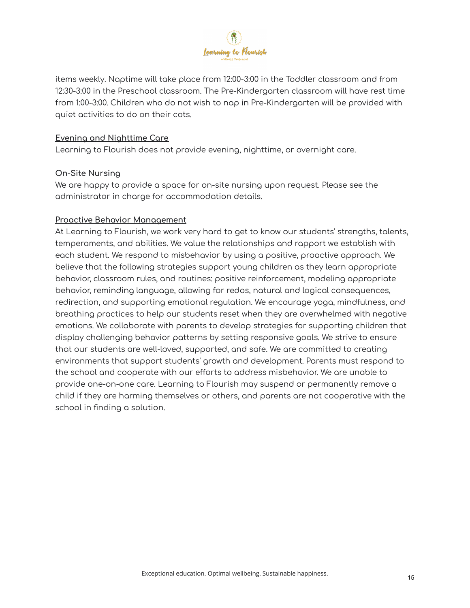

items weekly. Naptime will take place from 12:00-3:00 in the Toddler classroom and from 12:30-3:00 in the Preschool classroom. The Pre-Kindergarten classroom will have rest time from 1:00-3:00. Children who do not wish to nap in Pre-Kindergarten will be provided with quiet activities to do on their cots.

#### **Evening and Nighttime Care**

Learning to Flourish does not provide evening, nighttime, or overnight care.

#### **On-Site Nursing**

We are happy to provide a space for on-site nursing upon request. Please see the administrator in charge for accommodation details.

#### **Proactive Behavior Management**

At Learning to Flourish, we work very hard to get to know our students' strengths, talents, temperaments, and abilities. We value the relationships and rapport we establish with each student. We respond to misbehavior by using a positive, proactive approach. We believe that the following strategies support young children as they learn appropriate behavior, classroom rules, and routines: positive reinforcement, modeling appropriate behavior, reminding language, allowing for redos, natural and logical consequences, redirection, and supporting emotional regulation. We encourage yoga, mindfulness, and breathing practices to help our students reset when they are overwhelmed with negative emotions. We collaborate with parents to develop strategies for supporting children that display challenging behavior patterns by setting responsive goals. We strive to ensure that our students are well-loved, supported, and safe. We are committed to creating environments that support students' growth and development. Parents must respond to the school and cooperate with our efforts to address misbehavior. We are unable to provide one-on-one care. Learning to Flourish may suspend or permanently remove a child if they are harming themselves or others, and parents are not cooperative with the school in finding a solution.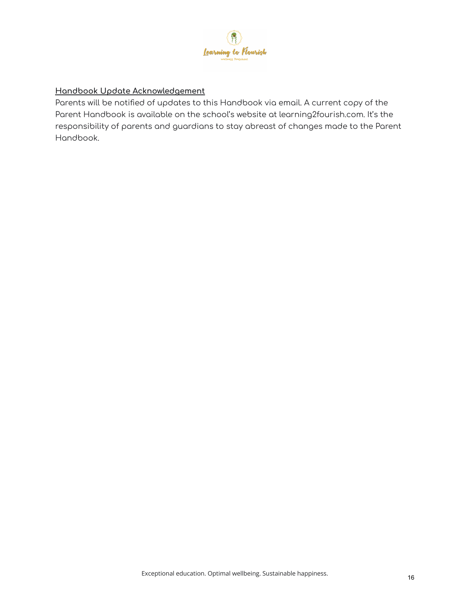

# **Handbook Update Acknowledgement**

Parents will be notified of updates to this Handbook via email. A current copy of the Parent Handbook is available on the school's website at learning2fourish.com. It's the responsibility of parents and guardians to stay abreast of changes made to the Parent Handbook.